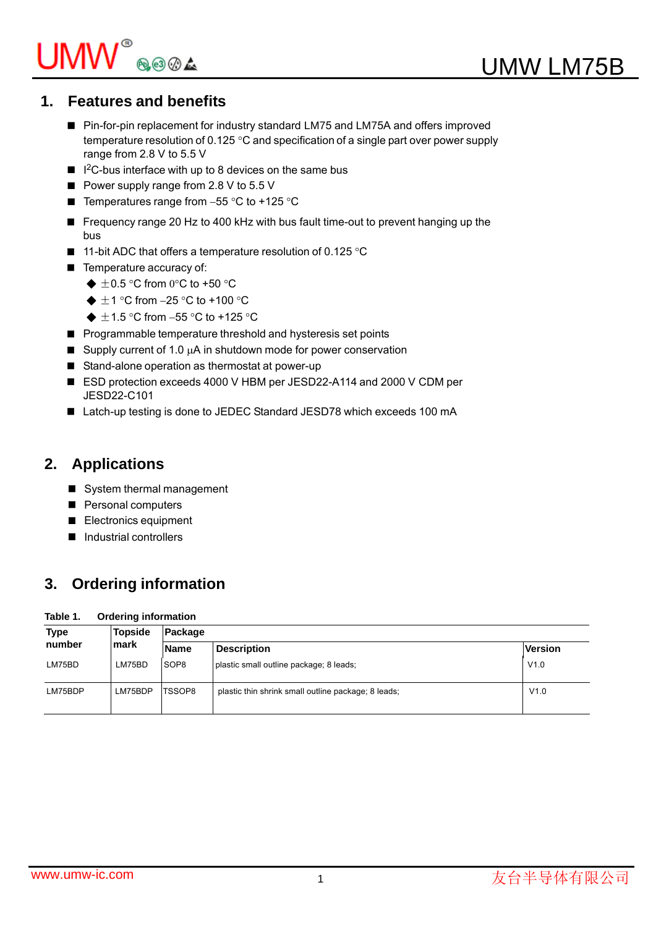# $\mathsf{UMW}^\circ$ ®®4

# **1. Features and benefits**

- Pin-for-pin replacement for industry standard LM75 and LM75A and offers improved temperature resolution of 0.125  $\degree$ C and specification of a single part over power supply range from 2.8 V to 5.5 V
- $\blacksquare$  I<sup>2</sup>C-bus interface with up to 8 devices on the same bus
- Power supply range from 2.8 V to 5.5 V
- Temperatures range from  $-55$  °C to  $+125$  °C
- Frequency range 20 Hz to 400 kHz with bus fault time-out to prevent hanging up the bus
- **11-bit ADC that offers a temperature resolution of 0.125 °C**
- Temperature accuracy of:
	- $\triangleq \pm 0.5$  °C from 0°C to +50 °C
	- $\triangleq \pm 1$  °C from -25 °C to +100 °C
	- $\triangleq \pm 1.5$  °C from -55 °C to +125 °C
- **Programmable temperature threshold and hysteresis set points**
- Supply current of 1.0  $\mu$ A in shutdown mode for power conservation
- Stand-alone operation as thermostat at power-up
- ESD protection exceeds 4000 V HBM per JESD22-A114 and 2000 V CDM per JESD22-C101
- Latch-up testing is done to JEDEC Standard JESD78 which exceeds 100 mA

# **2. Applications**

- System thermal management
- **Personal computers**
- Electronics equipment
- **Industrial controllers**

# **3. Ordering information**

## **Table 1. Ordering information**

| <b>Type</b><br>number | <b>Topside</b> | Package          |                                                     |                |  |  |  |  |  |
|-----------------------|----------------|------------------|-----------------------------------------------------|----------------|--|--|--|--|--|
|                       | mark           | <b>Name</b>      | <b>Description</b>                                  | <b>Version</b> |  |  |  |  |  |
| LM75BD                | LM75BD         | SOP <sub>8</sub> | plastic small outline package; 8 leads;             | V1.0           |  |  |  |  |  |
| LM75BDP               | LM75BDP        | TSSOP8           | plastic thin shrink small outline package; 8 leads; | V1.0           |  |  |  |  |  |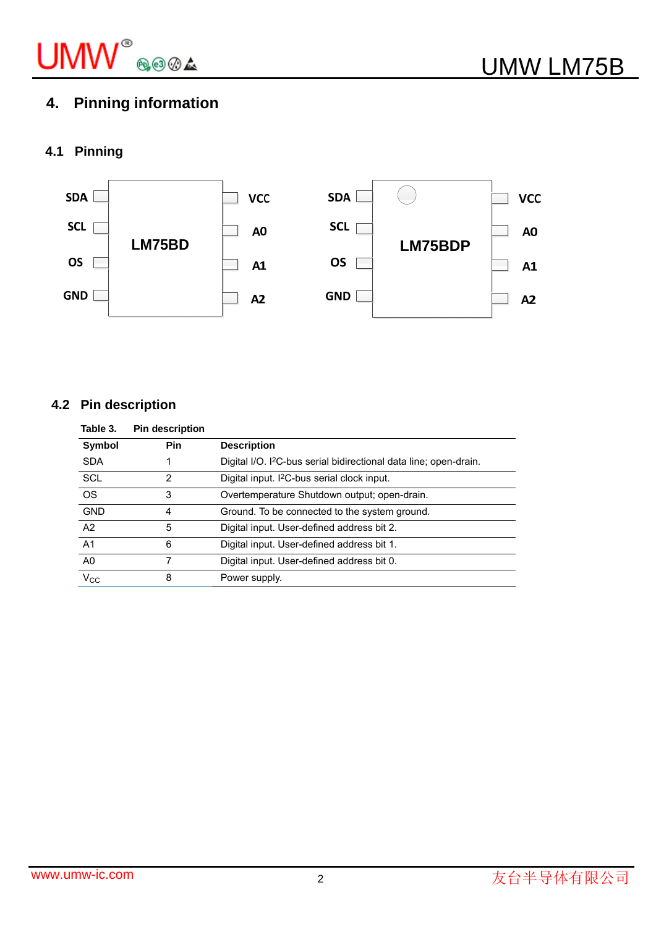

# **4. Pinning information**

## **4.1 Pinning**



## **4.2 Pin description**

| Table 3.       | <b>Pin description</b> |                                                                               |
|----------------|------------------------|-------------------------------------------------------------------------------|
| Symbol         | Pin                    | <b>Description</b>                                                            |
| <b>SDA</b>     |                        | Digital I/O. I <sup>2</sup> C-bus serial bidirectional data line; open-drain. |
| <b>SCL</b>     | 2                      | Digital input. I <sup>2</sup> C-bus serial clock input.                       |
| <b>OS</b>      | 3                      | Overtemperature Shutdown output; open-drain.                                  |
| <b>GND</b>     | 4                      | Ground. To be connected to the system ground.                                 |
| A2             | 5                      | Digital input. User-defined address bit 2.                                    |
| A <sub>1</sub> | 6                      | Digital input. User-defined address bit 1.                                    |
| A0             |                        | Digital input. User-defined address bit 0.                                    |
| $V_{\rm CC}$   | 8                      | Power supply.                                                                 |
|                |                        |                                                                               |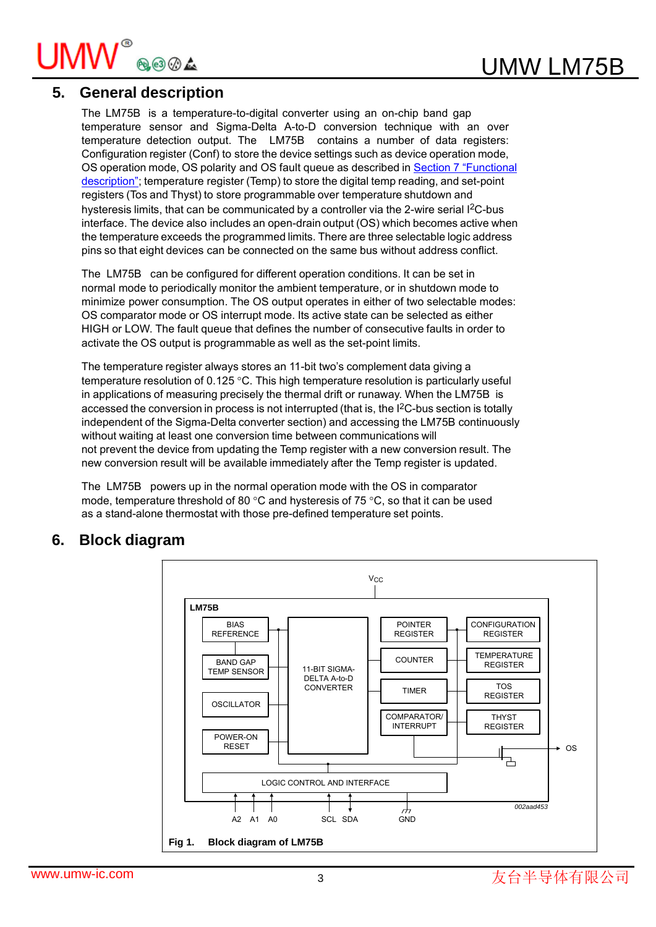

## **5. General description**

The LM75B is a temperature-to-digital converter using an on-chip band gap temperature sensor and Sigma-Delta A-to-D conversion technique with an over temperature detection output. The LM75B contains a number of data registers: Configuration register (Conf) to store the device settings such as device operation mode, OS operation mode, OS polarity and OS fault queue as described in Section 7 "Functional description"; temperature register (Temp) to store the digital temp reading, and set-point registers (Tos and Thyst) to store programmable over temperature shutdown and hysteresis limits, that can be communicated by a controller via the 2-wire serial I<sup>2</sup>C-bus interface. The device also includes an open-drain output (OS) which becomes active when the temperature exceeds the programmed limits. There are three selectable logic address pins so that eight devices can be connected on the same bus without address conflict.

The LM75B can be configured for different operation conditions. It can be set in normal mode to periodically monitor the ambient temperature, or in shutdown mode to minimize power consumption. The OS output operates in either of two selectable modes: OS comparator mode or OS interrupt mode. Its active state can be selected as either HIGH or LOW. The fault queue that defines the number of consecutive faults in order to activate the OS output is programmable as well as the set-point limits.

The temperature register always stores an 11-bit two's complement data giving a temperature resolution of  $0.125$  °C. This high temperature resolution is particularly useful in applications of measuring precisely the thermal drift or runaway. When the LM75B is accessed the conversion in process is not interrupted (that is, the I<sup>2</sup>C-bus section is totally independent of the Sigma-Delta converter section) and accessing the LM75B continuously without waiting at least one conversion time between communications will not prevent the device from updating the Temp register with a new conversion result. The new conversion result will be available immediately after the Temp register is updated.

The LM75B powers up in the normal operation mode with the OS in comparator mode, temperature threshold of 80  $\degree$ C and hysteresis of 75  $\degree$ C, so that it can be used as a stand-alone thermostat with those pre-defined temperature set points.

## **6. Block diagram**

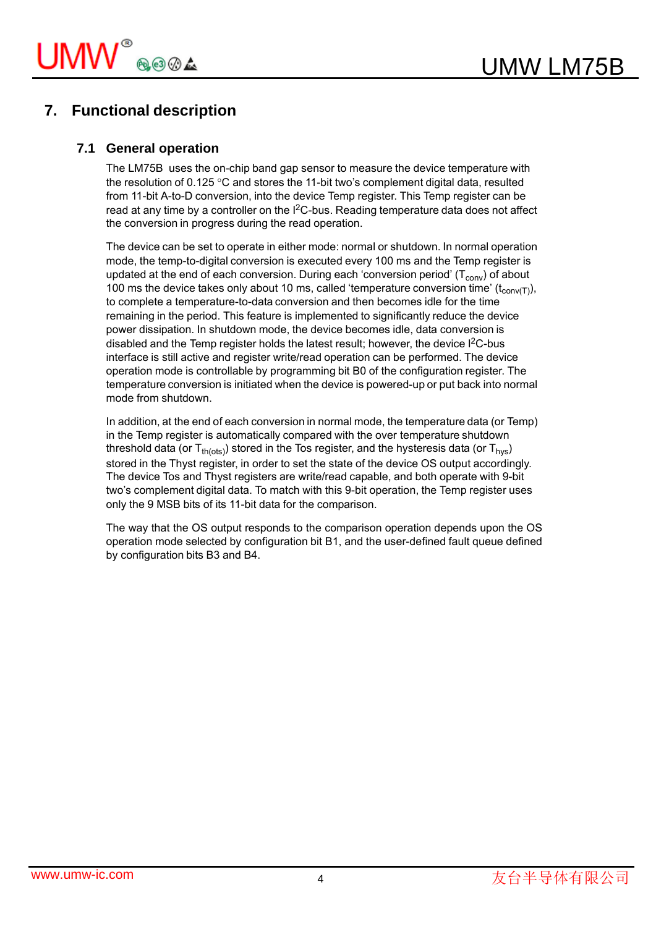## **7. Functional description**

## **7.1 General operation**

The LM75B uses the on-chip band gap sensor to measure the device temperature with the resolution of 0.125  $\degree$ C and stores the 11-bit two's complement digital data, resulted from 11-bit A-to-D conversion, into the device Temp register. This Temp register can be read at any time by a controller on the I<sup>2</sup>C-bus. Reading temperature data does not affect the conversion in progress during the read operation.

The device can be set to operate in either mode: normal or shutdown. In normal operation mode, the temp-to-digital conversion is executed every 100 ms and the Temp register is updated at the end of each conversion. During each 'conversion period'  $(T_{conv})$  of about 100 ms the device takes only about 10 ms, called 'temperature conversion time'  $(t_{\text{conv(T)}})$ , to complete a temperature-to-data conversion and then becomes idle for the time remaining in the period. This feature is implemented to significantly reduce the device power dissipation. In shutdown mode, the device becomes idle, data conversion is disabled and the Temp register holds the latest result; however, the device I<sup>2</sup>C-bus interface is still active and register write/read operation can be performed. The device operation mode is controllable by programming bit B0 of the configuration register. The temperature conversion is initiated when the device is powered-up or put back into normal mode from shutdown.

In addition, at the end of each conversion in normal mode, the temperature data (or Temp) in the Temp register is automatically compared with the over temperature shutdown threshold data (or  $T_{th (ots)}$ ) stored in the Tos register, and the hysteresis data (or  $T_{hys}$ ) stored in the Thyst register, in order to set the state of the device OS output accordingly. The device Tos and Thyst registers are write/read capable, and both operate with 9-bit two's complement digital data. To match with this 9-bit operation, the Temp register uses only the 9 MSB bits of its 11-bit data for the comparison.

The way that the OS output responds to the comparison operation depends upon the OS operation mode selected by configuration bit B1, and the user-defined fault queue defined by configuration bits B3 and B4.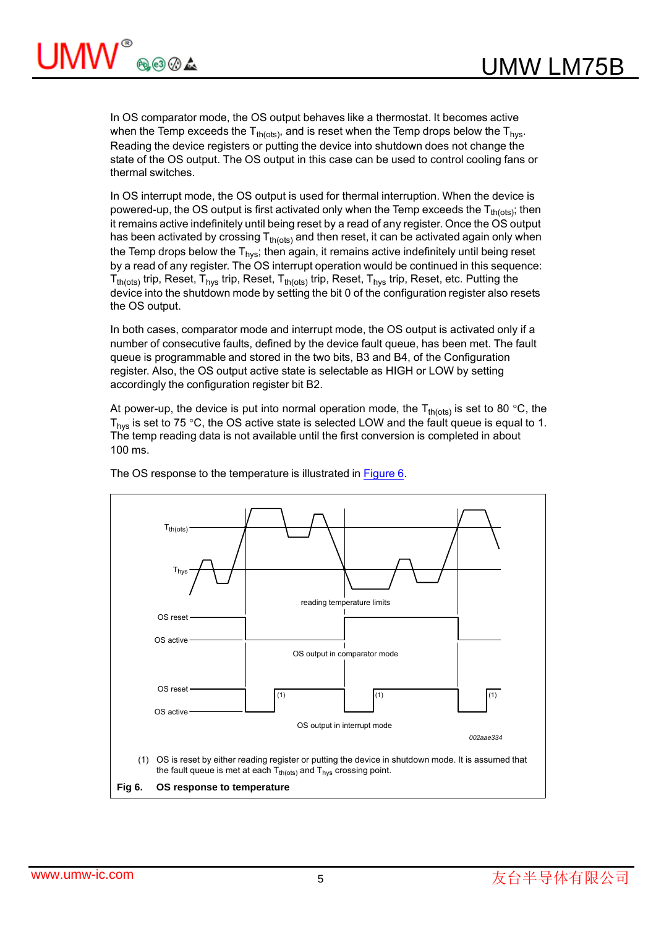

In OS comparator mode, the OS output behaves like a thermostat. It becomes active when the Temp exceeds the  $T_{th(ots)}$ , and is reset when the Temp drops below the  $T_{hvs}$ . Reading the device registers or putting the device into shutdown does not change the state of the OS output. The OS output in this case can be used to control cooling fans or thermal switches.

In OS interrupt mode, the OS output is used for thermal interruption. When the device is powered-up, the OS output is first activated only when the Temp exceeds the  $T_{th (ots)}$ ; then it remains active indefinitely until being reset by a read of any register. Once the OS output has been activated by crossing  $T_{th(ots)}$  and then reset, it can be activated again only when the Temp drops below the  $T_{\text{hvs}}$ ; then again, it remains active indefinitely until being reset by a read of any register. The OS interrupt operation would be continued in this sequence:  $T_{th (ots)}$  trip, Reset,  $T_{hys}$  trip, Reset,  $T_{th (ots)}$  trip, Reset,  $T_{hys}$  trip, Reset, etc. Putting the device into the shutdown mode by setting the bit 0 of the configuration register also resets the OS output.

In both cases, comparator mode and interrupt mode, the OS output is activated only if a number of consecutive faults, defined by the device fault queue, has been met. The fault queue is programmable and stored in the two bits, B3 and B4, of the Configuration register. Also, the OS output active state is selectable as HIGH or LOW by setting accordingly the configuration register bit B2.

At power-up, the device is put into normal operation mode, the  $T_{th(ots)}$  is set to 80 °C, the  $T_{\text{hys}}$  is set to 75 °C, the OS active state is selected LOW and the fault queue is equal to 1. The temp reading data is not available until the first conversion is completed in about 100 ms.



The OS response to the temperature is illustrated in **Figure 6**.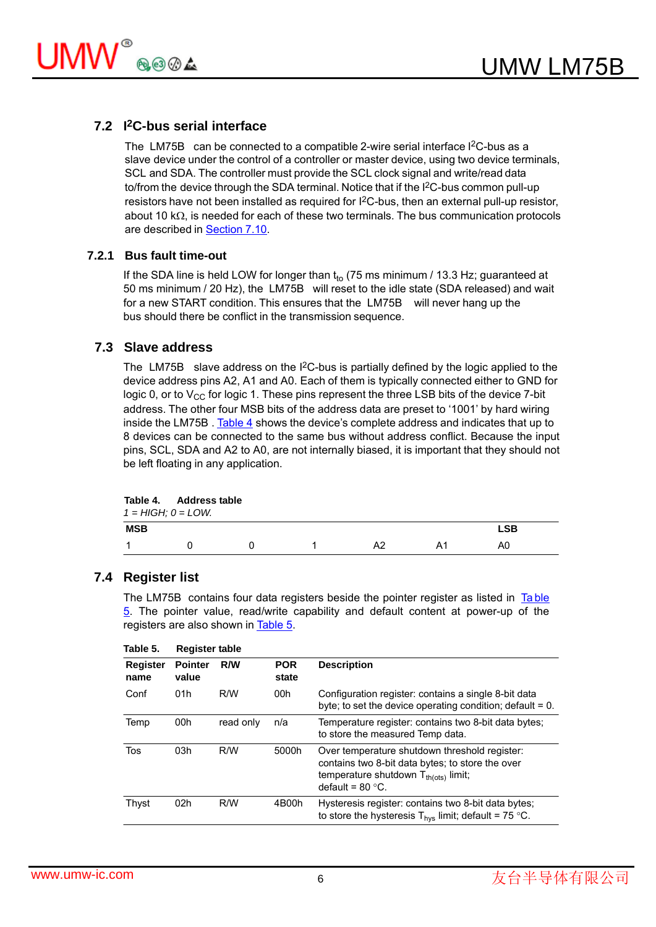

### **7.2 I2C-bus serial interface**

The LM75B can be connected to a compatible 2-wire serial interface I<sup>2</sup>C-bus as a slave device under the control of a controller or master device, using two device terminals, SCL and SDA. The controller must provide the SCL clock signal and write/read data to/from the device through the SDA terminal. Notice that if the I<sup>2</sup>C-bus common pull-up resistors have not been installed as required for I<sup>2</sup>C-bus, then an external pull-up resistor, about 10  $k\Omega$ , is needed for each of these two terminals. The bus communication protocols are described in Section 7.10.

#### **7.2.1 Bus fault time-out**

If the SDA line is held LOW for longer than  $t_{to}$  (75 ms minimum / 13.3 Hz; guaranteed at 50 ms minimum / 20 Hz), the LM75B will reset to the idle state (SDA released) and wait for a new START condition. This ensures that the LM75B will never hang up the bus should there be conflict in the transmission sequence.

#### **7.3 Slave address**

The LM75B slave address on the I<sup>2</sup>C-bus is partially defined by the logic applied to the device address pins A2, A1 and A0. Each of them is typically connected either to GND for logic 0, or to  $V_{CC}$  for logic 1. These pins represent the three LSB bits of the device 7-bit address. The other four MSB bits of the address data are preset to '1001' by hard wiring inside the LM75B . Table 4 shows the device's complete address and indicates that up to 8 devices can be connected to the same bus without address conflict. Because the input pins, SCL, SDA and A2 to A0, are not internally biased, it is important that they should not be left floating in any application.

|            | Table 4. Address table<br>$1 = HIGH$ ; $0 = LOW$ . |  |  |    |    |            |  |  |  |  |
|------------|----------------------------------------------------|--|--|----|----|------------|--|--|--|--|
| <b>MSB</b> |                                                    |  |  |    |    | <b>LSB</b> |  |  |  |  |
|            |                                                    |  |  | A2 | А1 | A0         |  |  |  |  |

#### **7.4 Register list**

The LM75B contains four data registers beside the pointer register as listed in Table 5. The pointer value, read/write capability and default content at power-up of the registers are also shown in Table 5.

| Table 5.                | <b>Register table</b>   |           |                     |                                                                                                                                                                        |  |  |  |  |  |  |  |
|-------------------------|-------------------------|-----------|---------------------|------------------------------------------------------------------------------------------------------------------------------------------------------------------------|--|--|--|--|--|--|--|
| <b>Register</b><br>name | <b>Pointer</b><br>value | R/W       | <b>POR</b><br>state | <b>Description</b>                                                                                                                                                     |  |  |  |  |  |  |  |
| Conf                    | 01h                     | R/W       | 00h                 | Configuration register: contains a single 8-bit data<br>byte; to set the device operating condition; default $= 0$ .                                                   |  |  |  |  |  |  |  |
| Temp                    | 00h                     | read only | n/a                 | Temperature register: contains two 8-bit data bytes;<br>to store the measured Temp data.                                                                               |  |  |  |  |  |  |  |
| Tos                     | 03h                     | R/W       | 5000h               | Over temperature shutdown threshold register:<br>contains two 8-bit data bytes; to store the over<br>temperature shutdown $T_{th (ots)}$ limit;<br>default = $80 °C$ . |  |  |  |  |  |  |  |
| Thyst                   | 02 <sub>h</sub>         | R/W       | 4B00h               | Hysteresis register: contains two 8-bit data bytes;<br>to store the hysteresis $T_{\text{hys}}$ limit; default = 75 °C.                                                |  |  |  |  |  |  |  |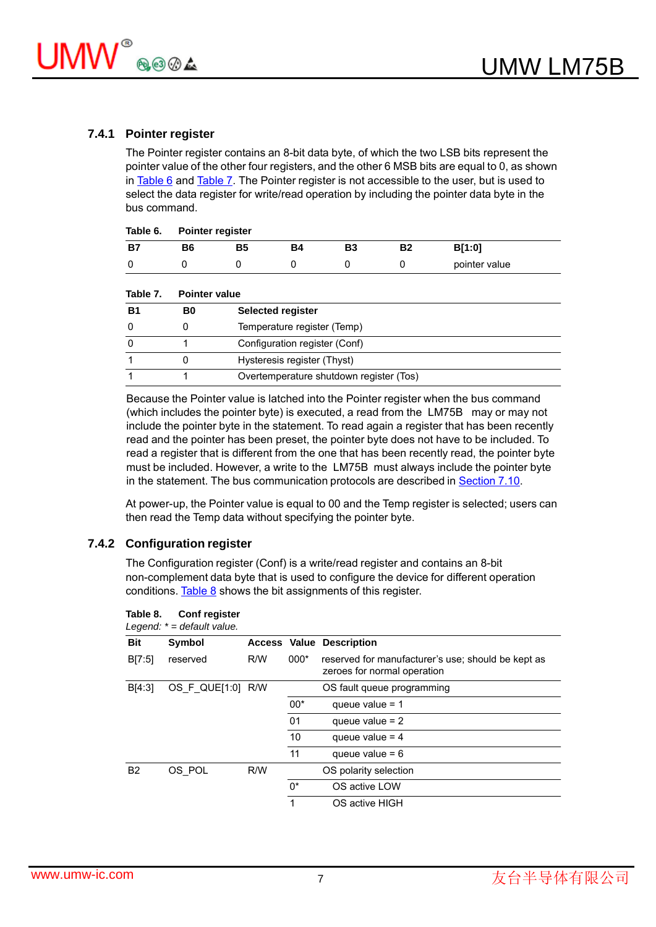

#### **7.4.1 Pointer register**

The Pointer register contains an 8-bit data byte, of which the two LSB bits represent the pointer value of the other four registers, and the other 6 MSB bits are equal to 0, as shown in Table 6 and Table 7. The Pointer register is not accessible to the user, but is used to select the data register for write/read operation by including the pointer data byte in the bus command.

| Table 6. Pointer register |    |    |    |    |               |  |  |  |  |
|---------------------------|----|----|----|----|---------------|--|--|--|--|
| B6                        | Β5 | Β4 | B3 | Β2 | B[1:0]        |  |  |  |  |
|                           |    |    |    |    | pointer value |  |  |  |  |

| Table 7.  | <b>Pointer value</b> |                                         |  |  |  |  |  |  |  |  |
|-----------|----------------------|-----------------------------------------|--|--|--|--|--|--|--|--|
| <b>B1</b> | B0                   | <b>Selected register</b>                |  |  |  |  |  |  |  |  |
| $\Omega$  |                      | Temperature register (Temp)             |  |  |  |  |  |  |  |  |
| 0         |                      | Configuration register (Conf)           |  |  |  |  |  |  |  |  |
|           |                      | Hysteresis register (Thyst)             |  |  |  |  |  |  |  |  |
|           |                      | Overtemperature shutdown register (Tos) |  |  |  |  |  |  |  |  |

Because the Pointer value is latched into the Pointer register when the bus command (which includes the pointer byte) is executed, a read from the LM75B may or may not include the pointer byte in the statement. To read again a register that has been recently read and the pointer has been preset, the pointer byte does not have to be included. To read a register that is different from the one that has been recently read, the pointer byte must be included. However, a write to the LM75B must always include the pointer byte in the statement. The bus communication protocols are described in Section 7.10.

At power-up, the Pointer value is equal to 00 and the Temp register is selected; users can then read the Temp data without specifying the pointer byte.

#### **7.4.2 Configuration register**

The Configuration register (Conf) is a write/read register and contains an 8-bit non-complement data byte that is used to configure the device for different operation conditions. Table  $8$  shows the bit assignments of this register.

| Bit            | Symbol            |     |        | <b>Access Value Description</b>                                                   |
|----------------|-------------------|-----|--------|-----------------------------------------------------------------------------------|
| B[7:5]         | reserved          | R/W | $000*$ | reserved for manufacturer's use; should be kept as<br>zeroes for normal operation |
| B[4:3]         | OS F QUE[1:0] R/W |     |        | OS fault queue programming                                                        |
|                |                   |     | $00*$  | queue value = $1$                                                                 |
|                |                   |     | 01     | queue value $= 2$                                                                 |
|                |                   |     | 10     | queue value = $4$                                                                 |
|                |                   |     | 11     | queue value = $6$                                                                 |
| B <sub>2</sub> | OS POL            | R/W |        | OS polarity selection                                                             |
|                |                   |     | 0*     | OS active LOW                                                                     |
|                |                   |     | 1      | OS active HIGH                                                                    |
|                |                   |     |        |                                                                                   |

#### **Table 8. Conf register**

*Legend: \* = default value.*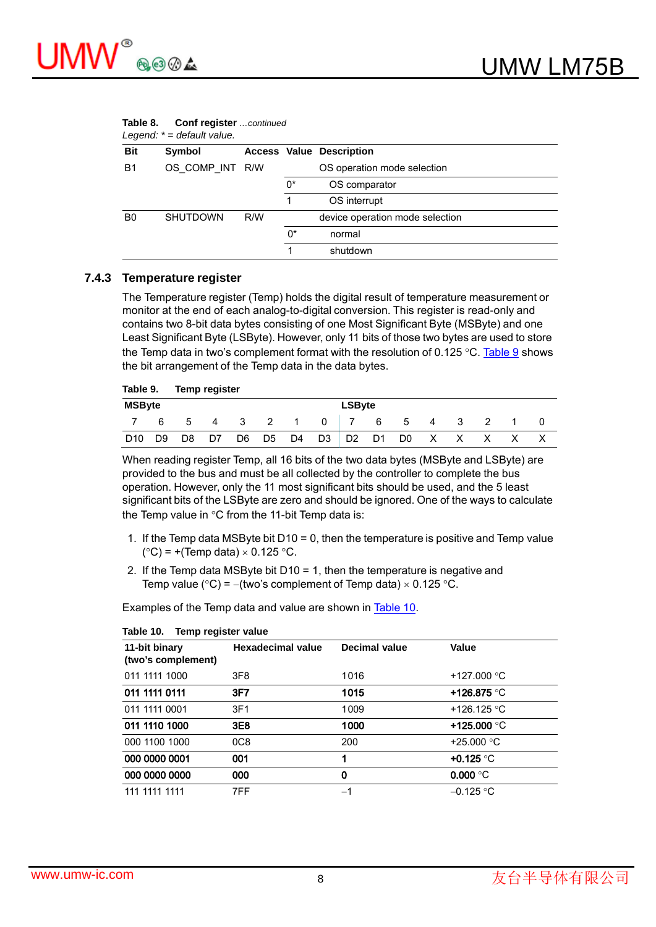

|            | Legend: $* =$ default value. |     |       |                                 |  |  |  |  |  |
|------------|------------------------------|-----|-------|---------------------------------|--|--|--|--|--|
| <b>Bit</b> | Symbol                       |     |       | <b>Access Value Description</b> |  |  |  |  |  |
| <b>B1</b>  | OS COMP INT R/W              |     |       | OS operation mode selection     |  |  |  |  |  |
|            |                              |     | 0*    | OS comparator                   |  |  |  |  |  |
|            |                              |     |       | OS interrupt                    |  |  |  |  |  |
| B0         | <b>SHUTDOWN</b>              | R/W |       | device operation mode selection |  |  |  |  |  |
|            |                              |     | $0^*$ | normal                          |  |  |  |  |  |
|            |                              |     |       | shutdown                        |  |  |  |  |  |

# **Table 8. Conf register** *…continued*

#### **7.4.3 Temperature register**

The Temperature register (Temp) holds the digital result of temperature measurement or monitor at the end of each analog-to-digital conversion. This register is read-only and contains two 8-bit data bytes consisting of one Most Significant Byte (MSByte) and one Least Significant Byte (LSByte). However, only 11 bits of those two bytes are used to store the Temp data in two's complement format with the resolution of 0.125 °C. Table 9 shows the bit arrangement of the Temp data in the data bytes.

| Table 9.        |               | Temp register |    |    |                            |                |                |                |    |                |    |     |  |  |
|-----------------|---------------|---------------|----|----|----------------------------|----------------|----------------|----------------|----|----------------|----|-----|--|--|
| <b>MSByte</b>   | <b>LSByte</b> |               |    |    |                            |                |                |                |    |                |    |     |  |  |
|                 | 6             | 5             | 4  | -3 | $\overline{\phantom{a}}$ 2 | $\overline{1}$ | 0              |                | 6  | 5              | 4  | - 3 |  |  |
| D <sub>10</sub> | D9            | D8            | D7 | D6 | D <sub>5</sub>             | D4             | D <sub>3</sub> | D <sub>2</sub> | D1 | D <sub>0</sub> | X. | X   |  |  |

When reading register Temp, all 16 bits of the two data bytes (MSByte and LSByte) are provided to the bus and must be all collected by the controller to complete the bus operation. However, only the 11 most significant bits should be used, and the 5 least significant bits of the LSByte are zero and should be ignored. One of the ways to calculate the Temp value in  $\degree$ C from the 11-bit Temp data is:

- 1. If the Temp data MSByte bit D10 = 0, then the temperature is positive and Temp value  $(^{\circ}C)$  = +(Temp data)  $\times$  0.125  $^{\circ}C$ .
- 2. If the Temp data MSByte bit D10 = 1, then the temperature is negative and Temp value (°C) = -(two's complement of Temp data)  $\times$  0.125 °C.

Examples of the Temp data and value are shown in Table 10.

| 11-bit binary<br>(two's complement) | <b>Hexadecimal value</b> | <b>Decimal value</b> | Value                 |
|-------------------------------------|--------------------------|----------------------|-----------------------|
| 011 1111 1000                       | 3F <sub>8</sub>          | 1016                 | +127.000 $^{\circ}$ C |
| 011 1111 0111                       | 3F7                      | 1015                 | +126.875 °C           |
| 011 1111 0001                       | 3F1                      | 1009                 | +126.125 °C           |
| 011 1110 1000                       | 3E8                      | 1000                 | +125.000 $^{\circ}$ C |
| 000 1100 1000                       | 0C8                      | 200                  | +25.000 $^{\circ}$ C  |
| 000 0000 0001                       | 001                      | 1                    | +0.125 $\degree$ C    |
| 000 0000 0000                       | 000                      | 0                    | $0.000\text{ °C}$     |
| 111 1111 1111                       | 7FF                      | -1                   | $-0.125$ °C           |

#### **Table 10. Temp register value**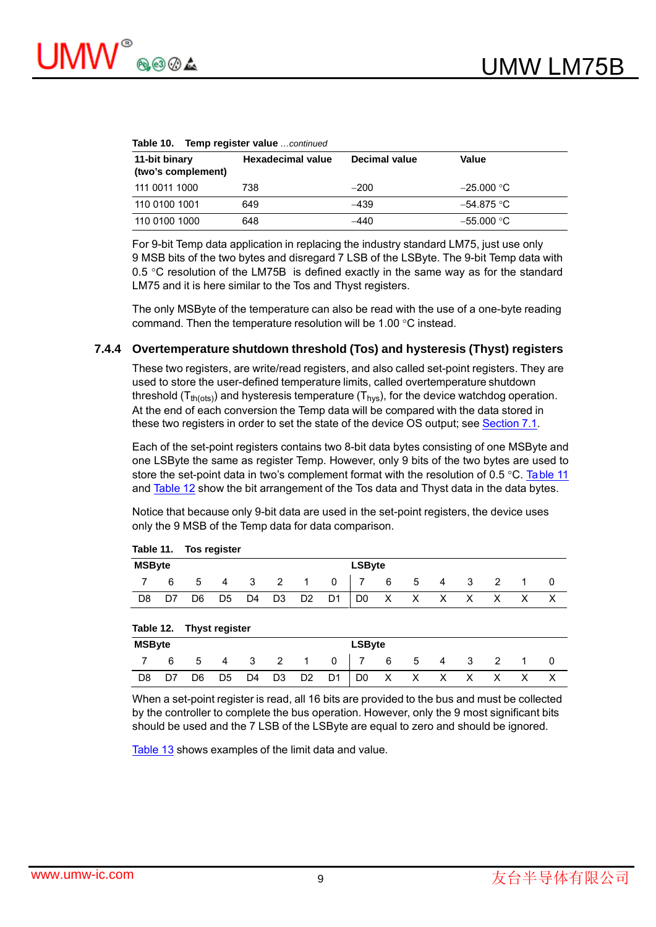| Table 10. Temp register value  continued |                   |               |                                   |  |  |  |  |  |  |  |  |
|------------------------------------------|-------------------|---------------|-----------------------------------|--|--|--|--|--|--|--|--|
| 11-bit binary<br>(two's complement)      | Hexadecimal value | Decimal value | Value                             |  |  |  |  |  |  |  |  |
| 111 0011 1000                            | 738               | $-200$        | $-25.000\text{ }^{\circ}\text{C}$ |  |  |  |  |  |  |  |  |
| 110 0100 1001                            | 649               | -439          | $-54.875$ °C                      |  |  |  |  |  |  |  |  |
| 110 0100 1000                            | 648               | $-440$        | $-55.000\text{ °C}$               |  |  |  |  |  |  |  |  |

For 9-bit Temp data application in replacing the industry standard LM75, just use only 9 MSB bits of the two bytes and disregard 7 LSB of the LSByte. The 9-bit Temp data with 0.5  $\degree$ C resolution of the LM75B is defined exactly in the same way as for the standard LM75 and it is here similar to the Tos and Thyst registers.

The only MSByte of the temperature can also be read with the use of a one-byte reading command. Then the temperature resolution will be 1.00  $\degree$ C instead.

#### **7.4.4 Overtemperature shutdown threshold (Tos) and hysteresis (Thyst) registers**

These two registers, are write/read registers, and also called set-point registers. They are used to store the user-defined temperature limits, called overtemperature shutdown threshold ( $T_{th (ots)}$ ) and hysteresis temperature ( $T_{hvs}$ ), for the device watchdog operation. At the end of each conversion the Temp data will be compared with the data stored in these two registers in order to set the state of the device OS output; see Section 7.1.

Each of the set-point registers contains two 8-bit data bytes consisting of one MSByte and one LSByte the same as register Temp. However, only 9 bits of the two bytes are used to store the set-point data in two's complement format with the resolution of 0.5 °C. Table 11 and Table 12 show the bit arrangement of the Tos data and Thyst data in the data bytes.

Notice that because only 9-bit data are used in the set-point registers, the device uses only the 9 MSB of the Temp data for data comparison.

|                                |    | $1a$ <sub>n</sub> $11.$ $1031$ $5431$ |                |                         |   |                |              |  |          |              |              |   |  |  |
|--------------------------------|----|---------------------------------------|----------------|-------------------------|---|----------------|--------------|--|----------|--------------|--------------|---|--|--|
| <b>MSByte</b><br><b>LSByte</b> |    |                                       |                |                         |   |                |              |  |          |              |              |   |  |  |
|                                | 6  | 5                                     | 4              | $\overline{\mathbf{3}}$ | 2 | $\overline{1}$ | $\mathbf{0}$ |  | 6        | 5            | 4            | 3 |  |  |
| D8                             | D7 | D6                                    | D <sub>5</sub> | D4 D3                   |   | D2             | D1 D0        |  | $\sim$ X | $\mathsf{X}$ | $\mathsf{X}$ | X |  |  |
|                                |    |                                       |                |                         |   |                |              |  |          |              |              |   |  |  |

**Table 11. Tos register**

| Table 12. |  |  | <b>Thyst register</b> |
|-----------|--|--|-----------------------|
|-----------|--|--|-----------------------|

|               |    | $14010 + 11$ $111100 + 10100$ |                |    |             |                |                |               |              |   |   |              |  |  |
|---------------|----|-------------------------------|----------------|----|-------------|----------------|----------------|---------------|--------------|---|---|--------------|--|--|
| <b>MSByte</b> |    |                               |                |    |             |                |                | <b>LSByte</b> |              |   |   |              |  |  |
|               | 6  | 5                             | 4              | -3 | $2^{\circ}$ | $\overline{1}$ | 0              |               | 6            | 5 | 4 | -3           |  |  |
| D8            | D7 | D6                            | D <sub>5</sub> | D4 | D3          | D <sub>2</sub> | D <sub>1</sub> | D0            | $\mathsf{X}$ | X | X | $\mathsf{X}$ |  |  |

When a set-point register is read, all 16 bits are provided to the bus and must be collected by the controller to complete the bus operation. However, only the 9 most significant bits should be used and the 7 LSB of the LSByte are equal to zero and should be ignored.

Table 13 shows examples of the limit data and value.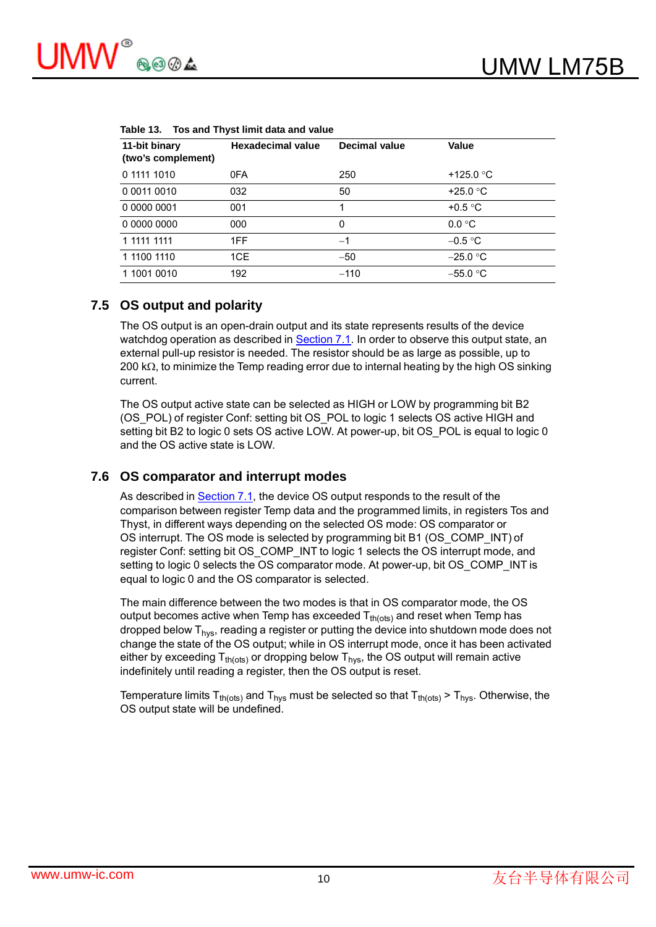| 11-bit binary<br>(two's complement) | <b>Hexadecimal value</b> | <b>Decimal value</b> | Value              |
|-------------------------------------|--------------------------|----------------------|--------------------|
| 0 1111 1010                         | 0FA                      | 250                  | +125.0 $\degree$ C |
| 0 0011 0010                         | 032                      | 50                   | +25.0 $\degree$ C  |
| 0 0000 0001                         | 001                      |                      | +0.5 $\degree$ C   |
| 0 0000 0000                         | 000                      | 0                    | $0.0 \degree C$    |
| 1 1111 1111                         | 1FF                      | $-1$                 | $-0.5 °C$          |
| 1 1100 1110                         | 1CE                      | $-50$                | $-25.0$ °C         |
| 1 1001 0010                         | 192                      | $-110$               | $-55.0 °C$         |

| Table 13. Tos and Thyst limit data and value |  |
|----------------------------------------------|--|
|----------------------------------------------|--|

#### **7.5 OS output and polarity**

The OS output is an open-drain output and its state represents results of the device watchdog operation as described in Section 7.1. In order to observe this output state, an external pull-up resistor is needed. The resistor should be as large as possible, up to 200 k $\Omega$ , to minimize the Temp reading error due to internal heating by the high OS sinking current.

The OS output active state can be selected as HIGH or LOW by programming bit B2 (OS POL) of register Conf: setting bit OS POL to logic 1 selects OS active HIGH and setting bit B2 to logic 0 sets OS active LOW. At power-up, bit OS POL is equal to logic 0 and the OS active state is LOW.

#### **7.6 OS comparator and interrupt modes**

As described in Section 7.1, the device OS output responds to the result of the comparison between register Temp data and the programmed limits, in registers Tos and Thyst, in different ways depending on the selected OS mode: OS comparator or OS interrupt. The OS mode is selected by programming bit B1 (OS\_COMP\_INT) of register Conf: setting bit OS\_COMP\_INT to logic 1 selects the OS interrupt mode, and setting to logic 0 selects the OS comparator mode. At power-up, bit OS\_COMP\_INT is equal to logic 0 and the OS comparator is selected.

The main difference between the two modes is that in OS comparator mode, the OS output becomes active when Temp has exceeded  $T_{th (ots)}$  and reset when Temp has dropped below  $T_{\text{hvs}}$ , reading a register or putting the device into shutdown mode does not change the state of the OS output; while in OS interrupt mode, once it has been activated either by exceeding  $T_{th (ots)}$  or dropping below  $T_{hvs}$ , the OS output will remain active indefinitely until reading a register, then the OS output is reset.

Temperature limits T<sub>th(ots)</sub> and T<sub>hys</sub> must be selected so that T<sub>th(ots)</sub> > T<sub>hys</sub>. Otherwise, the OS output state will be undefined.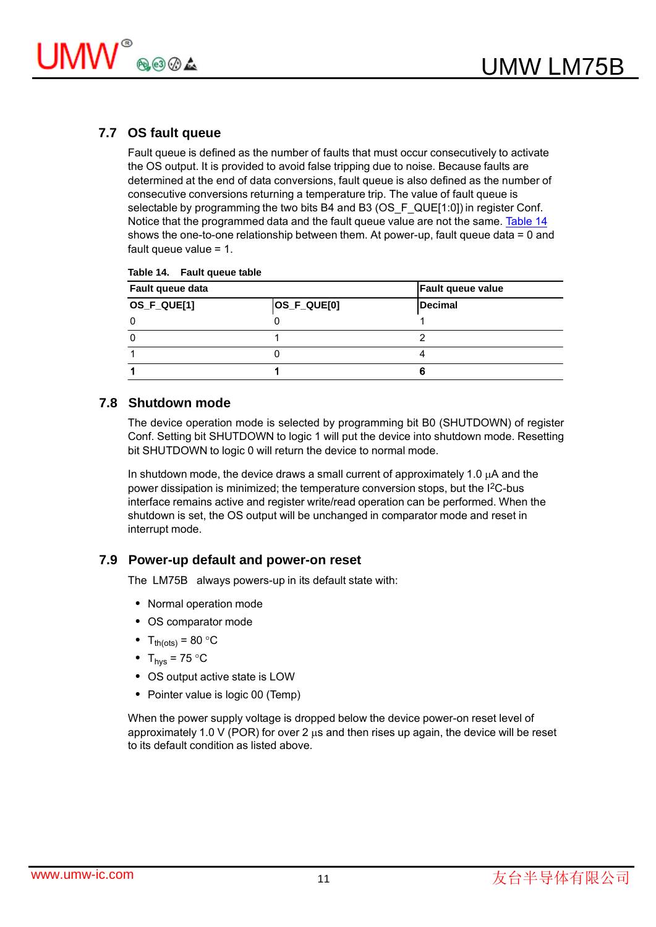

## **7.7 OS fault queue**

Fault queue is defined as the number of faults that must occur consecutively to activate the OS output. It is provided to avoid false tripping due to noise. Because faults are determined at the end of data conversions, fault queue is also defined as the number of consecutive conversions returning a temperature trip. The value of fault queue is selectable by programming the two bits B4 and B3 (OS\_F\_QUE[1:0]) in register Conf. Notice that the programmed data and the fault queue value are not the same. Table 14 shows the one-to-one relationship between them. At power-up, fault queue data = 0 and fault queue value = 1.

| Table 14.<br><b>Fault queue table</b> |
|---------------------------------------|
|---------------------------------------|

| Fault queue data |                | <b>Fault queue value</b> |
|------------------|----------------|--------------------------|
| OS_F_QUE[1]      | $ OS_F_QUE[0]$ | Decimal                  |
|                  |                |                          |
|                  |                |                          |
|                  |                |                          |
|                  |                | 6                        |

#### **7.8 Shutdown mode**

The device operation mode is selected by programming bit B0 (SHUTDOWN) of register Conf. Setting bit SHUTDOWN to logic 1 will put the device into shutdown mode. Resetting bit SHUTDOWN to logic 0 will return the device to normal mode.

In shutdown mode, the device draws a small current of approximately 1.0  $\mu$ A and the power dissipation is minimized; the temperature conversion stops, but the I2C-bus interface remains active and register write/read operation can be performed. When the shutdown is set, the OS output will be unchanged in comparator mode and reset in interrupt mode.

#### **7.9 Power-up default and power-on reset**

The LM75B always powers-up in its default state with:

- Normal operation mode
- OS comparator mode
- $T_{th(ots)} = 80$  °C
- $T_{\text{hys}} = 75 \text{ °C}$
- OS output active state is LOW
- Pointer value is logic 00 (Temp)

When the power supply voltage is dropped below the device power-on reset level of approximately 1.0 V (POR) for over 2  $\mu$ s and then rises up again, the device will be reset to its default condition as listed above.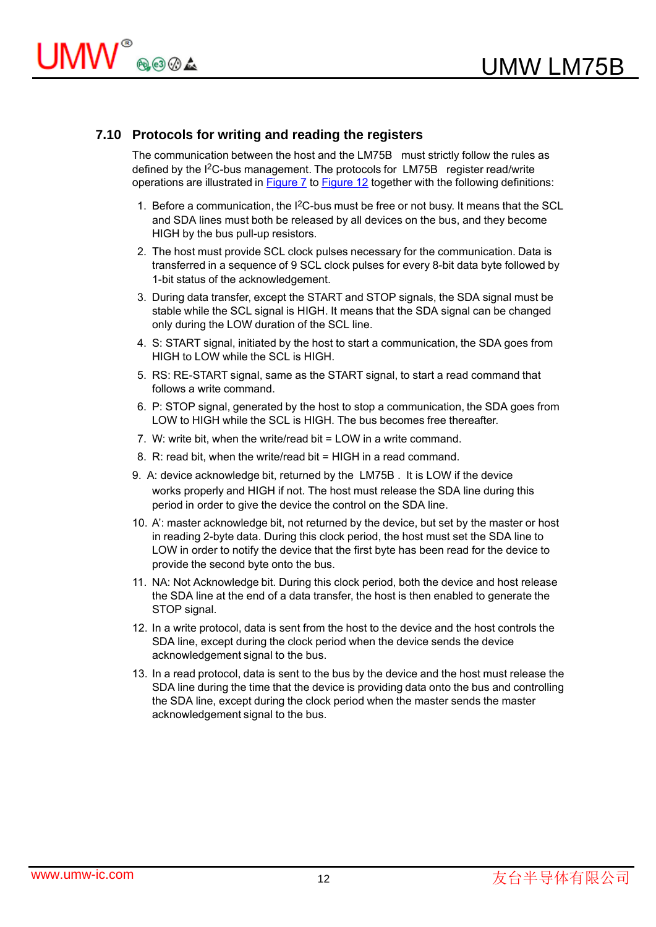#### **7.10 Protocols for writing and reading the registers**

The communication between the host and the LM75B must strictly follow the rules as defined by the I<sup>2</sup>C-bus management. The protocols for LM75B register read/write operations are illustrated in Figure 7 to Figure 12 together with the following definitions:

- 1. Before a communication, the I2C-bus must be free or not busy. It means that the SCL and SDA lines must both be released by all devices on the bus, and they become HIGH by the bus pull-up resistors.
- 2. The host must provide SCL clock pulses necessary for the communication. Data is transferred in a sequence of 9 SCL clock pulses for every 8-bit data byte followed by 1-bit status of the acknowledgement.
- 3. During data transfer, except the START and STOP signals, the SDA signal must be stable while the SCL signal is HIGH. It means that the SDA signal can be changed only during the LOW duration of the SCL line.
- 4. S: START signal, initiated by the host to start a communication, the SDA goes from HIGH to LOW while the SCL is HIGH.
- 5. RS: RE-START signal, same as the START signal, to start a read command that follows a write command.
- 6. P: STOP signal, generated by the host to stop a communication, the SDA goes from LOW to HIGH while the SCL is HIGH. The bus becomes free thereafter.
- 7. W: write bit, when the write/read bit = LOW in a write command.
- 8. R: read bit, when the write/read bit = HIGH in a read command.
- 9. A: device acknowledge bit, returned by the LM75B . It is LOW if the device works properly and HIGH if not. The host must release the SDA line during this period in order to give the device the control on the SDA line.
- 10. A': master acknowledge bit, not returned by the device, but set by the master or host in reading 2-byte data. During this clock period, the host must set the SDA line to LOW in order to notify the device that the first byte has been read for the device to provide the second byte onto the bus.
- 11. NA: Not Acknowledge bit. During this clock period, both the device and host release the SDA line at the end of a data transfer, the host is then enabled to generate the STOP signal.
- 12. In a write protocol, data is sent from the host to the device and the host controls the SDA line, except during the clock period when the device sends the device acknowledgement signal to the bus.
- 13. In a read protocol, data is sent to the bus by the device and the host must release the SDA line during the time that the device is providing data onto the bus and controlling the SDA line, except during the clock period when the master sends the master acknowledgement signal to the bus.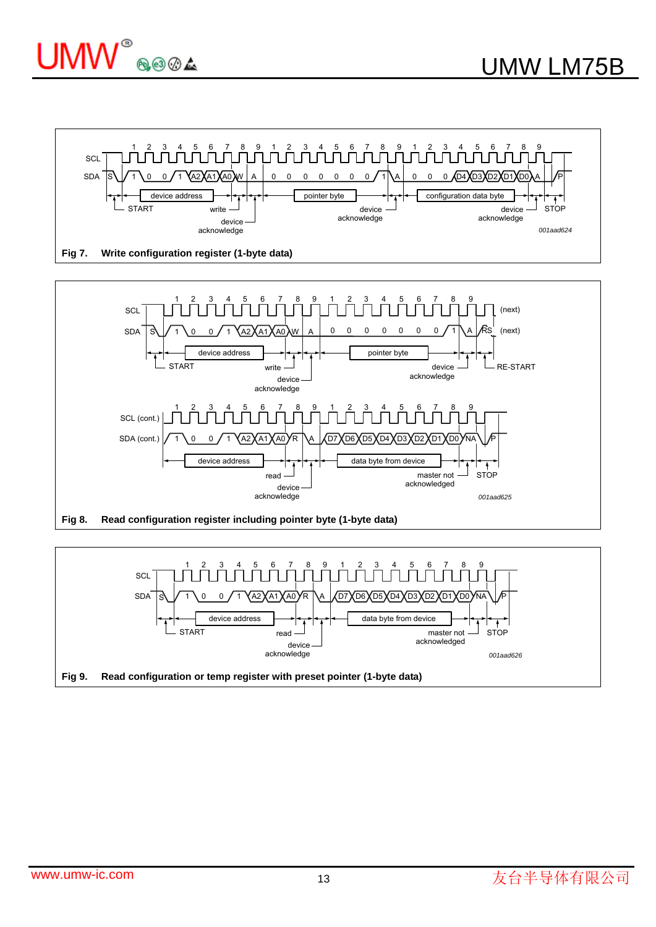





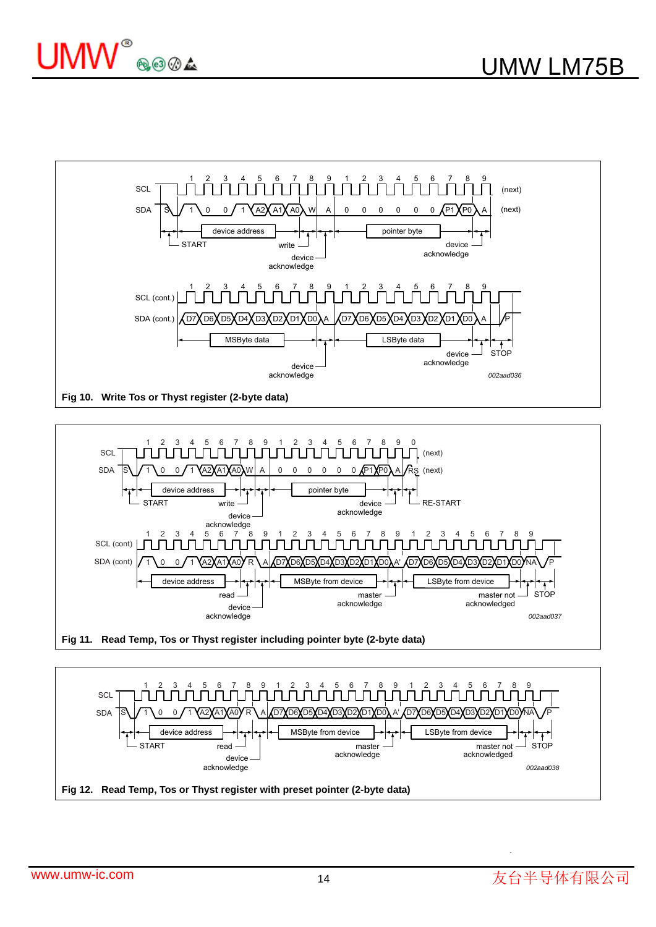



**Fig 11. Read Temp, Tos or Thyst register including pointer byte (2-byte data)**



.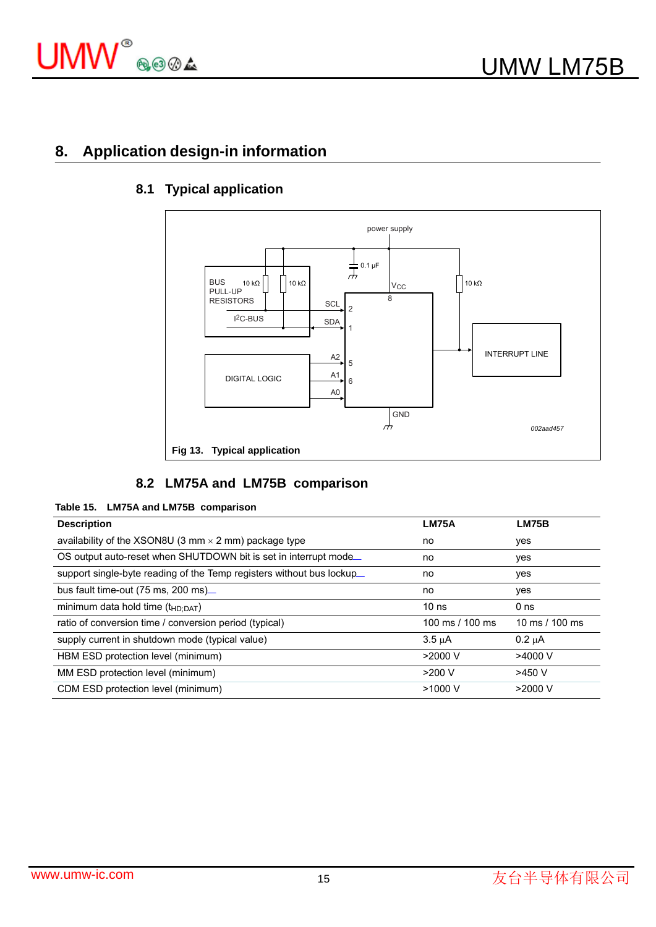

# **8. Application design-in information**



## **8.1 Typical application**

## **8.2 LM75A and LM75B comparison**

#### **Table 15. LM75A and LM75B comparison**

| <b>Description</b>                                                    | <b>LM75A</b>     | <b>LM75B</b>    |
|-----------------------------------------------------------------------|------------------|-----------------|
| availability of the XSON8U (3 mm $\times$ 2 mm) package type          | no               | yes             |
| OS output auto-reset when SHUTDOWN bit is set in interrupt mode.      | no               | yes             |
| support single-byte reading of the Temp registers without bus lockup. | no               | yes             |
| bus fault time-out $(75 \text{ ms}, 200 \text{ ms})$                  | no               | yes             |
| minimum data hold time $(t_{HD;DAT})$                                 | 10 <sub>ns</sub> | 0 <sub>ns</sub> |
| ratio of conversion time / conversion period (typical)                | 100 ms / 100 ms  | 10 ms / 100 ms  |
| supply current in shutdown mode (typical value)                       | $3.5 \mu A$      | $0.2 \mu A$     |
| HBM ESD protection level (minimum)                                    | $>2000$ V        | $>4000$ V       |
| MM ESD protection level (minimum)                                     | $>200$ V         | $>450$ V        |
| CDM ESD protection level (minimum)                                    | $>1000$ V        | $>2000$ V       |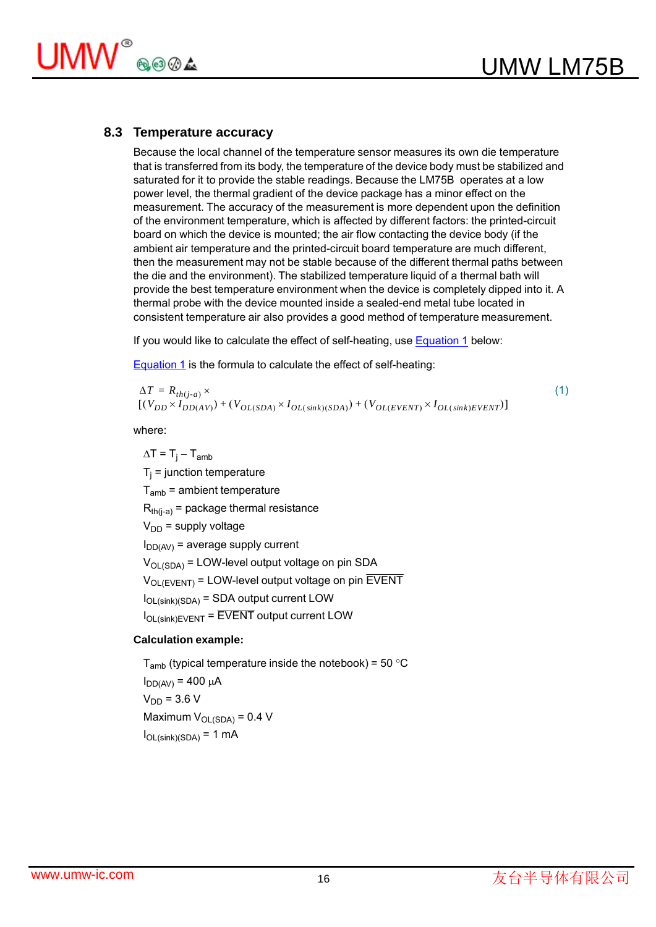

#### **8.3 Temperature accuracy**

Because the local channel of the temperature sensor measures its own die temperature that is transferred from its body, the temperature of the device body must be stabilized and saturated for it to provide the stable readings. Because the LM75B operates at a low power level, the thermal gradient of the device package has a minor effect on the measurement. The accuracy of the measurement is more dependent upon the definition of the environment temperature, which is affected by different factors: the printed-circuit board on which the device is mounted; the air flow contacting the device body (if the ambient air temperature and the printed-circuit board temperature are much different, then the measurement may not be stable because of the different thermal paths between the die and the environment). The stabilized temperature liquid of a thermal bath will provide the best temperature environment when the device is completely dipped into it. A thermal probe with the device mounted inside a sealed-end metal tube located in consistent temperature air also provides a good method of temperature measurement.

If you would like to calculate the effect of self-heating, use **Equation 1** below:

Equation 1 is the formula to calculate the effect of self-heating:

 $\Delta T = R$ <sub>th(i-a)</sub>  $\times$  $\times$  (1)  $V_{DL}(V_{DD} \times I_{DD(AV)}) + (V_{OL(SDA)} \times I_{OL(sink)(SDA)}) + (V_{OL(EVENT)} \times I_{OL(sink)EVENT})$ 

where:

 $\Delta T = T_i - T_{amb}$  $T_i$  = junction temperature  $T<sub>amb</sub>$  = ambient temperature  $R_{th(i-a)}$  = package thermal resistance  $V_{DD}$  = supply voltage  $I_{DD(AV)}$  = average supply current  $V_{\text{OL}}(SDA)$  = LOW-level output voltage on pin SDA  $V_{\text{OL}}(FVFNT)$  = LOW-level output voltage on pin EVENT  $I_{OL(sink)(SDA)}$  = SDA output current LOW IOL(sink)EVENT = EVENT output current LOW

#### **Calculation example:**

 $T<sub>amb</sub>$  (typical temperature inside the notebook) = 50 °C  $I_{DD(AV)} = 400 \mu A$  $V_{DD}$  = 3.6 V Maximum  $V_{OL(SDA)} = 0.4 V$  $I_{OL(sink)(SDA)} = 1$  mA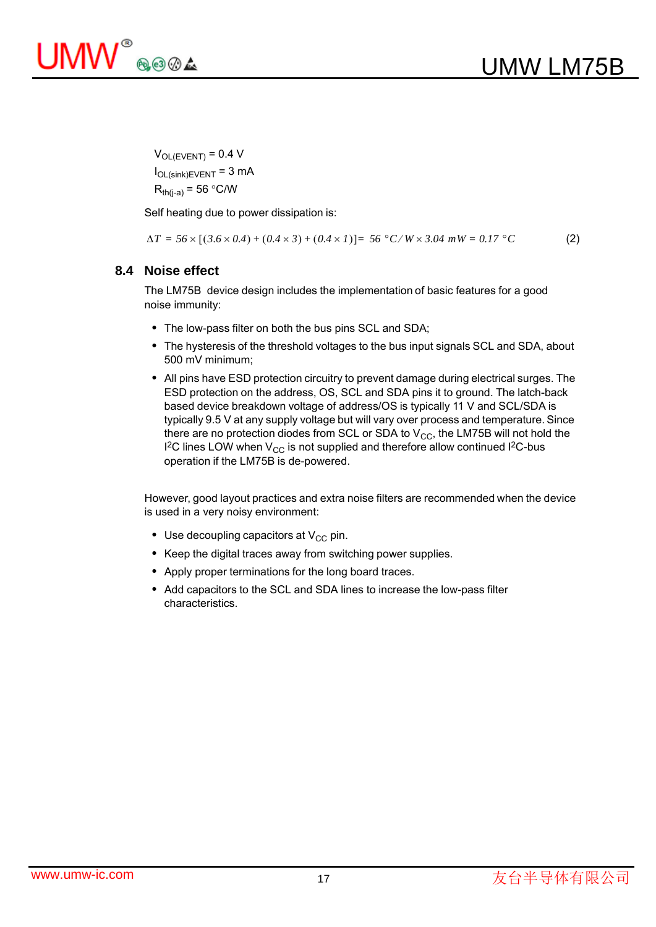

 $V_{OL(EVENT)} = 0.4 V$  $I_{OL(sink)EVENT}$  = 3 mA  $R_{th(i-a)} = 56 °C/W$ 

Self heating due to power dissipation is:

$$
\Delta T = 56 \times [(3.6 \times 0.4) + (0.4 \times 3) + (0.4 \times 1)] = 56 \degree C/W \times 3.04 \text{ mW} = 0.17 \degree C \tag{2}
$$

#### **8.4 Noise effect**

The LM75B device design includes the implementation of basic features for a good noise immunity:

- The low-pass filter on both the bus pins SCL and SDA;
- The hysteresis of the threshold voltages to the bus input signals SCL and SDA, about 500 mV minimum;
- All pins have ESD protection circuitry to prevent damage during electrical surges. The ESD protection on the address, OS, SCL and SDA pins it to ground. The latch-back based device breakdown voltage of address/OS is typically 11 V and SCL/SDA is typically 9.5 V at any supply voltage but will vary over process and temperature. Since there are no protection diodes from SCL or SDA to  $V_{CC}$ , the LM75B will not hold the I<sup>2</sup>C lines LOW when V<sub>CC</sub> is not supplied and therefore allow continued I<sup>2</sup>C-bus operation if the LM75B is de-powered.

However, good layout practices and extra noise filters are recommended when the device is used in a very noisy environment:

- Use decoupling capacitors at  $V_{CC}$  pin.
- Keep the digital traces away from switching power supplies.
- Apply proper terminations for the long board traces.
- Add capacitors to the SCL and SDA lines to increase the low-pass filter characteristics.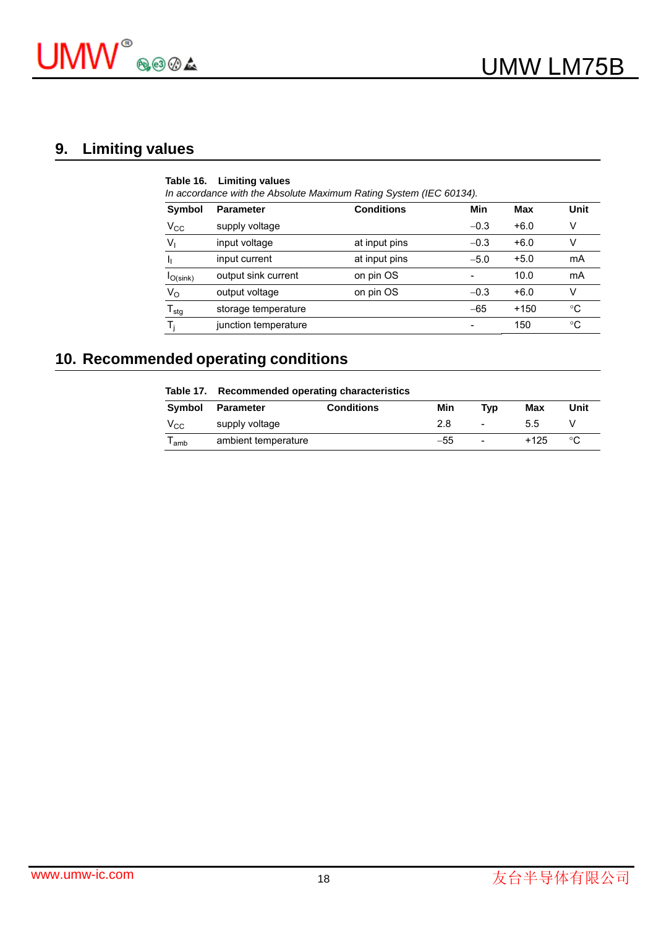

# **9. Limiting values**

|                  | Table 16. Limiting values<br>In accordance with the Absolute Maximum Rating System (IEC 60134). |                   |        |        |      |
|------------------|-------------------------------------------------------------------------------------------------|-------------------|--------|--------|------|
| Symbol           | <b>Parameter</b>                                                                                | <b>Conditions</b> | Min    | Max    | Unit |
| $V_{\rm CC}$     | supply voltage                                                                                  |                   | $-0.3$ | $+6.0$ | v    |
| $V_{1}$          | input voltage                                                                                   | at input pins     | $-0.3$ | $+6.0$ | V    |
|                  | input current                                                                                   | at input pins     | $-5.0$ | $+5.0$ | mA   |
| $I_{O(sink)}$    | output sink current                                                                             | on pin OS         |        | 10.0   | mA   |
| $V_{\rm O}$      | output voltage                                                                                  | on pin OS         | $-0.3$ | $+6.0$ | v    |
| $T_{\text{stg}}$ | storage temperature                                                                             |                   | $-65$  | $+150$ | °C   |
|                  | junction temperature                                                                            |                   |        | 150    | °C   |

# **10. Recommended operating conditions**

|              | Table 17. Recommended operating characteristics |                   |     |                          |        |      |
|--------------|-------------------------------------------------|-------------------|-----|--------------------------|--------|------|
| Symbol       | <b>Parameter</b>                                | <b>Conditions</b> | Min | Tvp                      | Max    | Unit |
| $V_{\rm CC}$ | supply voltage                                  |                   | 2.8 | $\overline{\phantom{a}}$ | 5.5    |      |
| l amb        | ambient temperature                             |                   | -55 | -                        | $+125$ | °C   |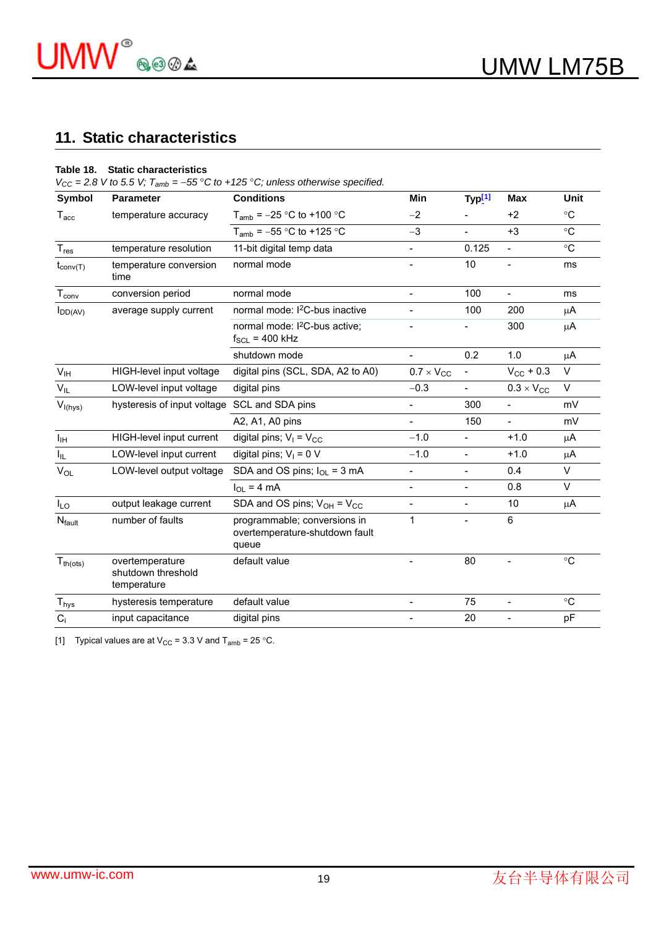

## **11. Static characteristics**

#### **Table 18. Static characteristics**

 $V_{CC}$  = 2.8 V to 5.5 V;  $T_{amb}$  = -55 °C to +125 °C; unless otherwise specified.

| Symbol                       | <b>Parameter</b>                                     | <b>Conditions</b>                                                       | <b>Min</b>                   | Typ[1]                   | <b>Max</b>               | <b>Unit</b>     |
|------------------------------|------------------------------------------------------|-------------------------------------------------------------------------|------------------------------|--------------------------|--------------------------|-----------------|
| $T_{\text{acc}}$             | temperature accuracy                                 | $T_{amb}$ = -25 °C to +100 °C                                           | $-2$                         |                          | $+2$                     | $^{\circ}C$     |
|                              |                                                      | $T_{amb}$ = -55 °C to +125 °C                                           | $-3$                         | $\overline{\phantom{a}}$ | $+3$                     | $\rm ^{\circ}C$ |
| $T_{res}$                    | temperature resolution                               | 11-bit digital temp data                                                | $\qquad \qquad \blacksquare$ | 0.125                    | $\overline{\phantom{a}}$ | $\rm ^{\circ}C$ |
| $t_{\text{conv}(T)}$         | temperature conversion<br>time                       | normal mode                                                             |                              | 10                       |                          | ms              |
| $\mathsf{T}_{\mathsf{conv}}$ | conversion period                                    | normal mode                                                             | $\blacksquare$               | 100                      | $\overline{\phantom{0}}$ | ms              |
| $I_{DD(AV)}$                 | average supply current                               | normal mode: I <sup>2</sup> C-bus inactive                              |                              | 100                      | 200                      | μA              |
|                              |                                                      | normal mode: I <sup>2</sup> C-bus active;<br>$f_{SCL}$ = 400 kHz        |                              |                          | 300                      | μA              |
|                              |                                                      | shutdown mode                                                           | $\overline{\phantom{a}}$     | 0.2                      | 1.0                      | μA              |
| V <sub>IH</sub>              | HIGH-level input voltage                             | digital pins (SCL, SDA, A2 to A0)                                       | $0.7 \times V_{CC}$          | $\blacksquare$           | $V_{CC}$ + 0.3           | $\vee$          |
| $V_{IL}$                     | LOW-level input voltage                              | digital pins                                                            | $-0.3$                       | $\qquad \qquad -$        | $0.3 \times V_{CC}$      | V               |
| $V_{I(hys)}$                 | hysteresis of input voltage                          | SCL and SDA pins                                                        |                              | 300                      | $\overline{\phantom{0}}$ | mV              |
|                              |                                                      | A2, A1, A0 pins                                                         | $\overline{\phantom{a}}$     | 150                      | $\overline{\phantom{a}}$ | mV              |
| $I_{\text{IH}}$              | HIGH-level input current                             | digital pins; $V_1 = V_{CC}$                                            | $-1.0$                       | $\overline{\phantom{a}}$ | $+1.0$                   | $\mu$ A         |
| $I_{IL}$                     | LOW-level input current                              | digital pins; $V_1 = 0$ V                                               | $-1.0$                       | $\overline{\phantom{a}}$ | $+1.0$                   | $\mu$ A         |
| $V_{OL}$                     | LOW-level output voltage                             | SDA and OS pins; $I_{OL} = 3$ mA                                        | $\overline{\phantom{a}}$     | $\overline{\phantom{a}}$ | 0.4                      | $\vee$          |
|                              |                                                      | $I_{OL}$ = 4 mA                                                         | $\overline{\phantom{a}}$     | $\overline{\phantom{a}}$ | 0.8                      | $\vee$          |
| $I_{LO}$                     | output leakage current                               | SDA and OS pins; $V_{OH} = V_{CC}$                                      |                              | $\overline{\phantom{0}}$ | 10                       | μA              |
| <b>N</b> <sub>fault</sub>    | number of faults                                     | programmable; conversions in<br>overtemperature-shutdown fault<br>queue | 1                            |                          | 6                        |                 |
| $T_{th (ots)}$               | overtemperature<br>shutdown threshold<br>temperature | default value                                                           |                              | 80                       |                          | $\rm ^{\circ}C$ |
| $\mathsf{T}_{\mathsf{hys}}$  | hysteresis temperature                               | default value                                                           |                              | 75                       | $\overline{\phantom{0}}$ | $^{\circ}C$     |
| $C_i$                        | input capacitance                                    | digital pins                                                            |                              | 20                       |                          | pF              |

[1] Typical values are at  $V_{CC} = 3.3$  V and  $T_{amb} = 25$  °C.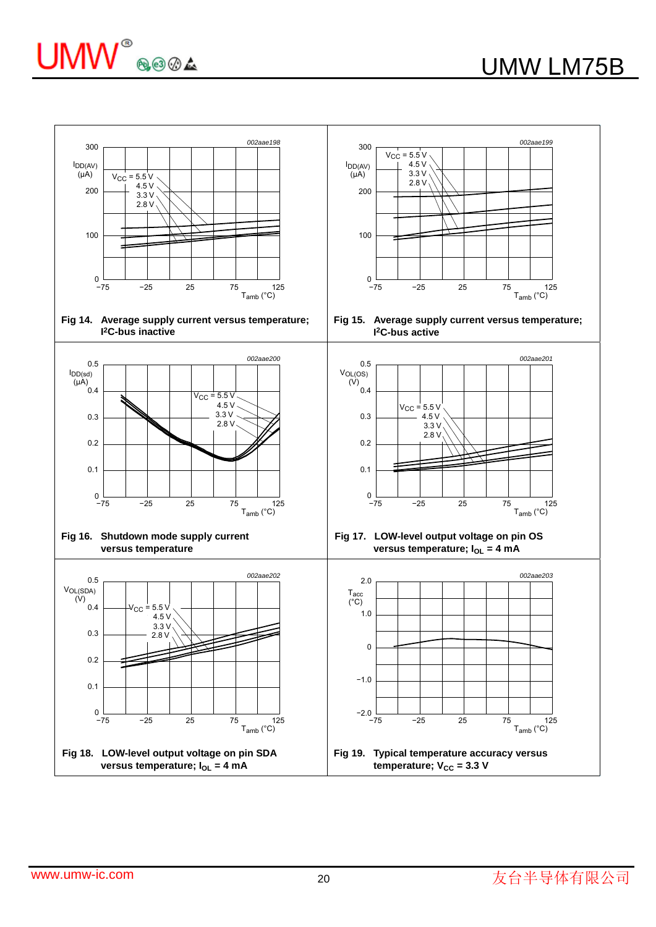

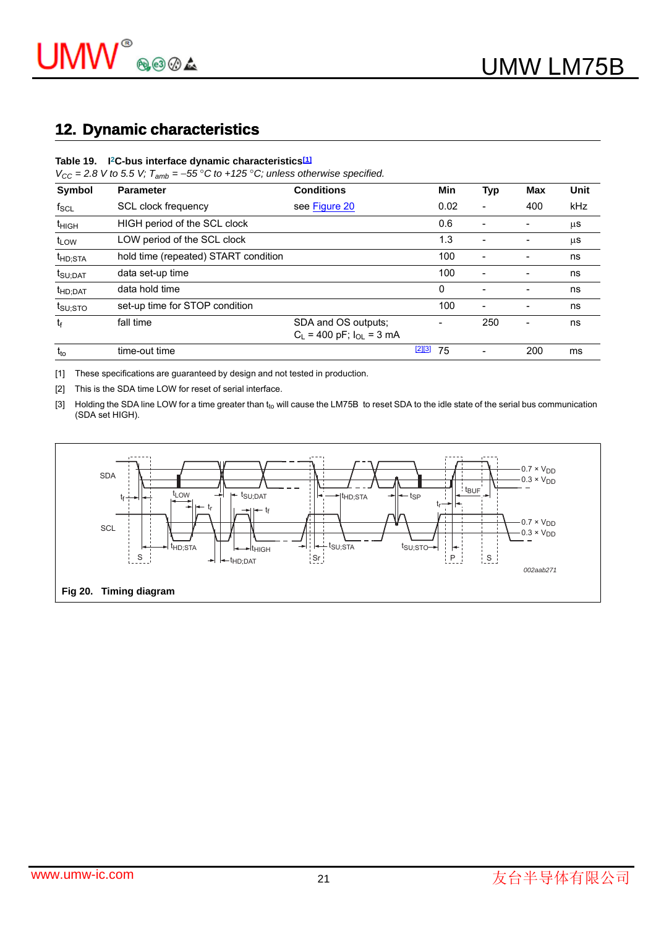# **12. Dynamic characteristics**

#### **Table 19. I2C-bus interface dynamic characteristics[1]**

 $V_{CC} = 2.8$  V to 5.5 V;  $T_{amb} = -55 \degree C$  to +125  $\degree C$ ; unless otherwise specified.

| Symbol              | <b>Parameter</b>                     | <b>Conditions</b>                                      |          | Min  | Typ                      | Max | Unit    |
|---------------------|--------------------------------------|--------------------------------------------------------|----------|------|--------------------------|-----|---------|
| $f_{\rm SCL}$       | SCL clock frequency                  | see Figure 20                                          |          | 0.02 |                          | 400 | kHz     |
| t <sub>HIGH</sub>   | HIGH period of the SCL clock         |                                                        |          | 0.6  | $\overline{\phantom{a}}$ |     | μS      |
| t <sub>LOW</sub>    | LOW period of the SCL clock          |                                                        |          | 1.3  | $\overline{\phantom{a}}$ |     | $\mu$ S |
| t <sub>HD;STA</sub> | hold time (repeated) START condition |                                                        |          | 100  |                          |     | ns      |
| t <sub>SU;DAT</sub> | data set-up time                     |                                                        |          | 100  | $\overline{\phantom{a}}$ |     | ns      |
| t <sub>HD;DAT</sub> | data hold time                       |                                                        |          | 0    |                          |     | ns      |
| $t_{\text{SU;STO}}$ | set-up time for STOP condition       |                                                        |          | 100  | ۰                        |     | ns      |
| tғ                  | fall time                            | SDA and OS outputs:<br>$C_L$ = 400 pF; $I_{OL}$ = 3 mA |          |      | 250                      |     | ns      |
| $t_{to}$            | time-out time                        |                                                        | $[2][3]$ | 75   |                          | 200 | ms      |

[1] These specifications are guaranteed by design and not tested in production.

[2] This is the SDA time LOW for reset of serial interface.

[3] Holding the SDA line LOW for a time greater than t<sub>to</sub> will cause the LM75B to reset SDA to the idle state of the serial bus communication (SDA set HIGH).

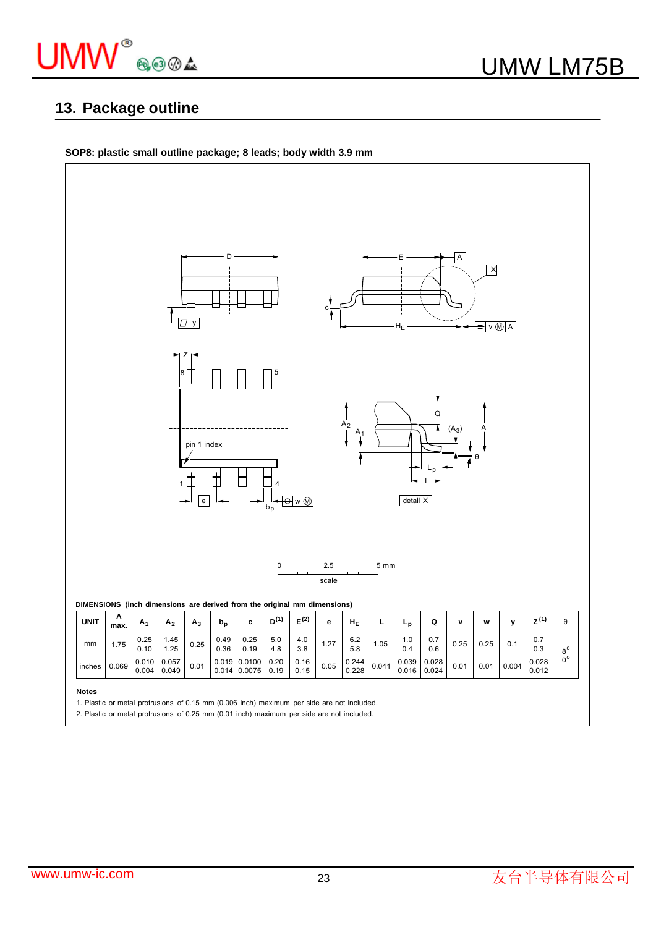

# **13. Package outline**

**SOP8: plastic small outline package; 8 leads; body width 3.9 mm**



2. Plastic or metal protrusions of 0.25 mm (0.01 inch) maximum per side are not included.